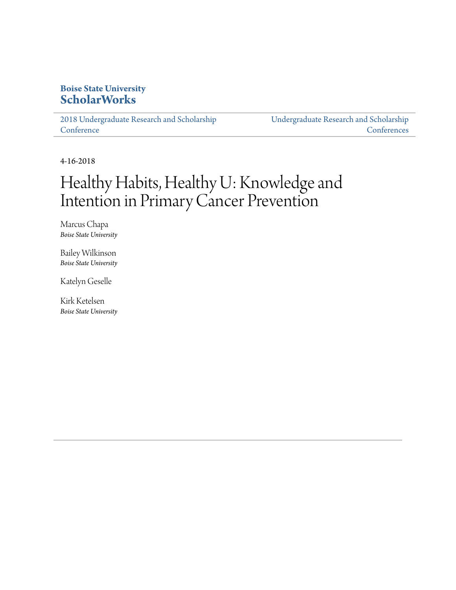#### **Boise State University [ScholarWorks](https://scholarworks.boisestate.edu)**

[2018 Undergraduate Research and Scholarship](https://scholarworks.boisestate.edu/under_conf_2018) **[Conference](https://scholarworks.boisestate.edu/under_conf_2018)** 

[Undergraduate Research and Scholarship](https://scholarworks.boisestate.edu/under_conference) **[Conferences](https://scholarworks.boisestate.edu/under_conference)** 

4-16-2018

#### Healthy Habits, Healthy U: Knowledge and Intention in Primary Cancer Prevention

Marcus Chapa *Boise State University*

Bailey Wilkinson *Boise State University*

Katelyn Geselle

Kirk Ketelsen *Boise State University*